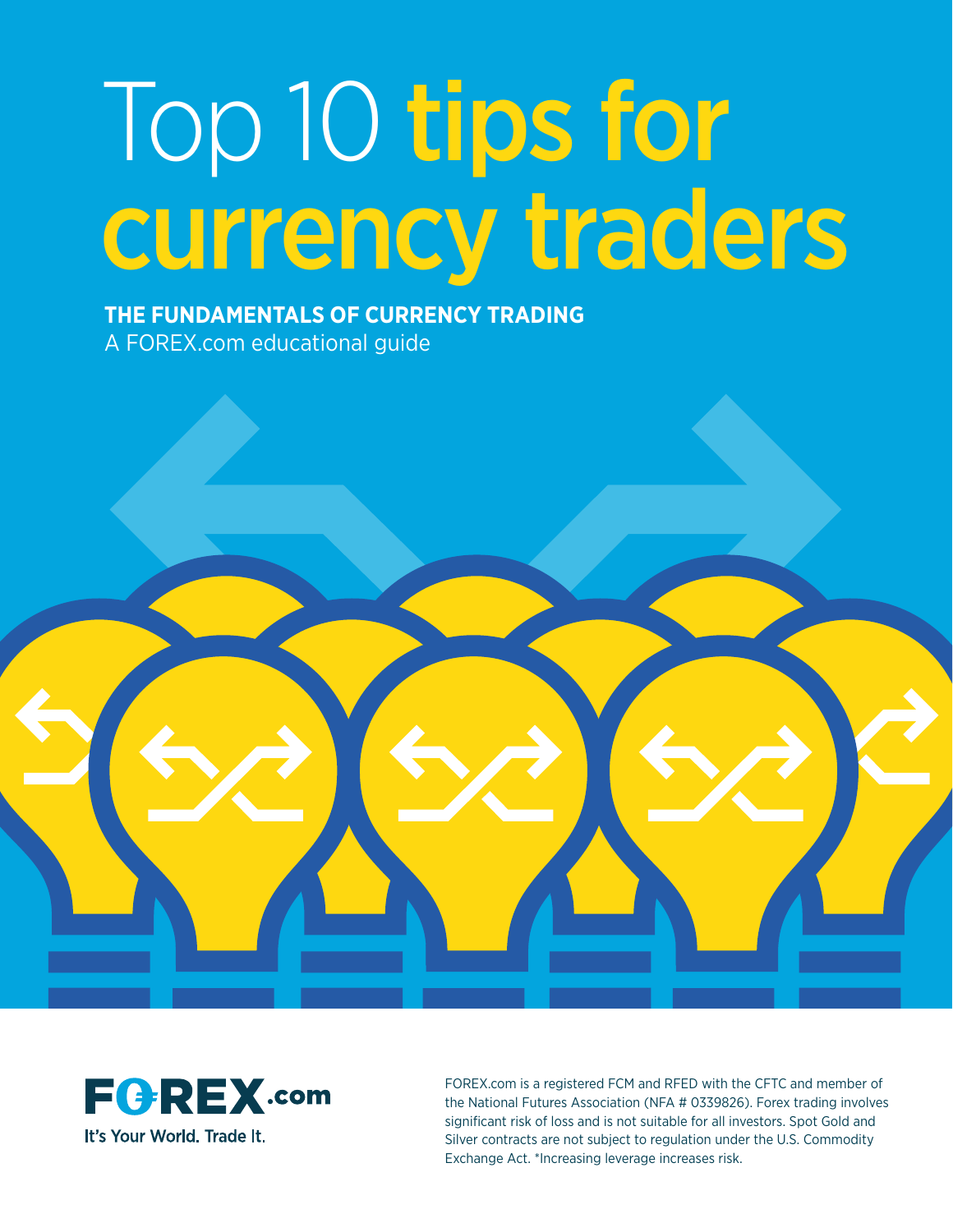# Top 10 tips for currency traders

**THE FUNDAMENTALS OF CURRENCY TRADING** A FOREX.com educational guide





FOREX.com is a registered FCM and RFED with the CFTC and member of the National Futures Association (NFA # 0339826). Forex trading involves significant risk of loss and is not suitable for all investors. Spot Gold and Silver contracts are not subject to regulation under the U.S. Commodity Exchange Act. \*Increasing leverage increases risk.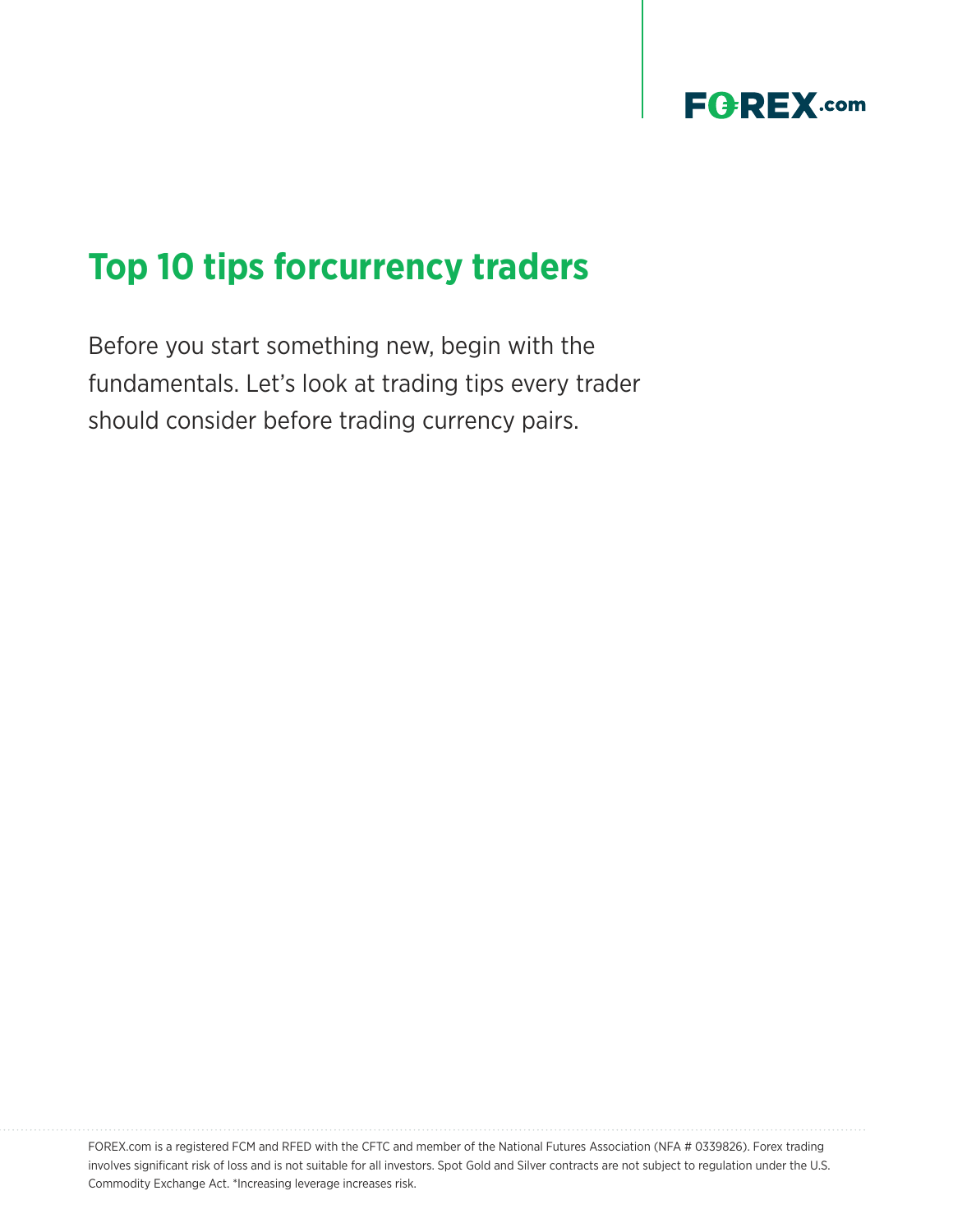

# **Top 10 tips forcurrency traders**

Before you start something new, begin with the fundamentals. Let's look at trading tips every trader should consider before trading currency pairs.

FOREX.com is a registered FCM and RFED with the CFTC and member of the National Futures Association (NFA # 0339826). Forex trading involves significant risk of loss and is not suitable for all investors. Spot Gold and Silver contracts are not subject to regulation under the U.S. Commodity Exchange Act. \*Increasing leverage increases risk.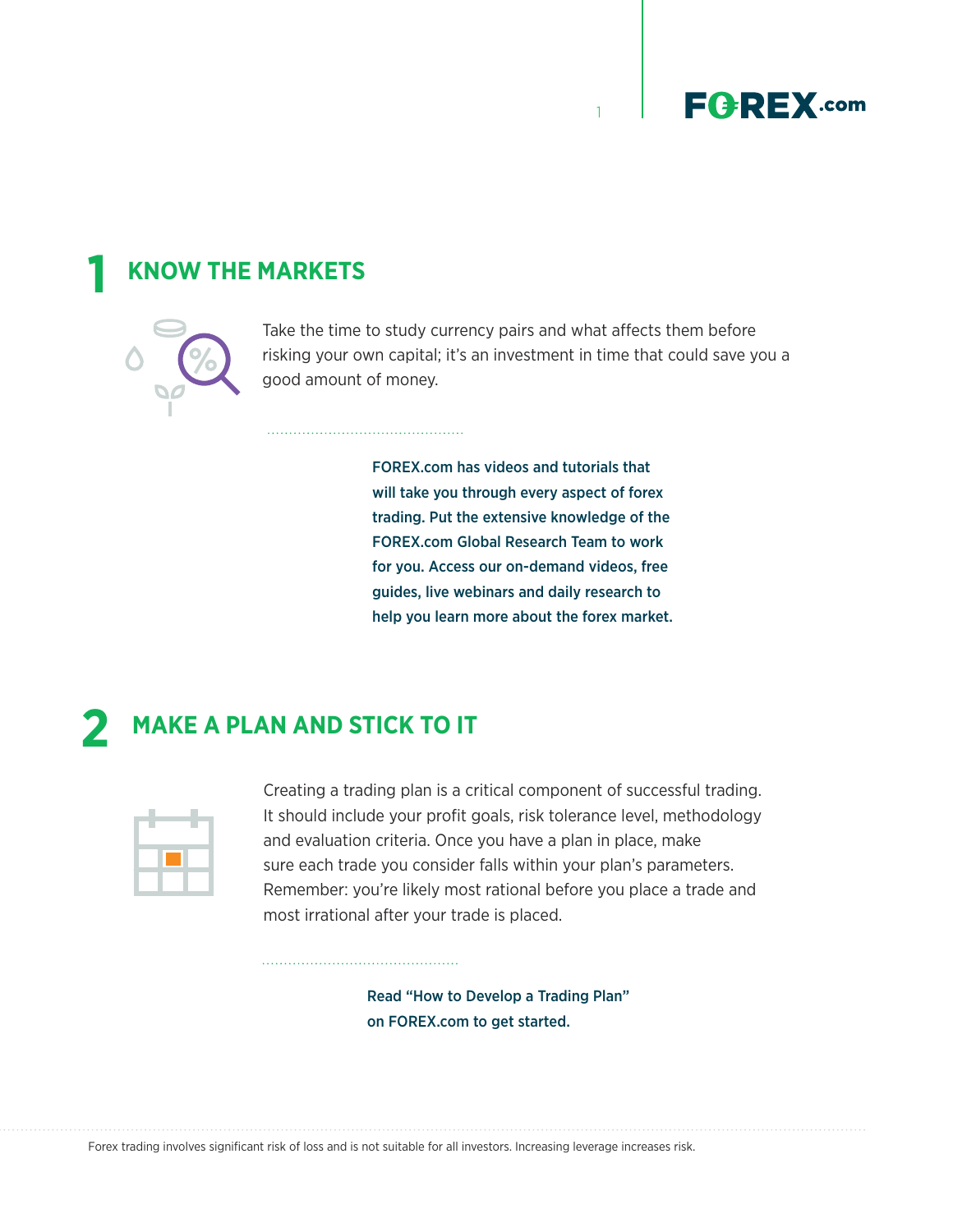

## **KNOW THE MARKETS 1**



Take the time to study currency pairs and what affects them before risking your own capital; it's an investment in time that could save you a good amount of money.

1

FOREX.com has videos and tutorials that will take you through every aspect of forex trading. Put the extensive knowledge of the FOREX.com Global Research Team to work for you. Access our on-demand videos, free guides, live webinars and daily research to help you learn more about the forex market.

## **2 MAKE A PLAN AND STICK TO IT**



Creating a trading plan is a critical component of successful trading. It should include your profit goals, risk tolerance level, methodology and evaluation criteria. Once you have a plan in place, make sure each trade you consider falls within your plan's parameters. Remember: you're likely most rational before you place a trade and most irrational after your trade is placed.

> Read "How to Develop a Trading Plan" on FOREX.com to get started.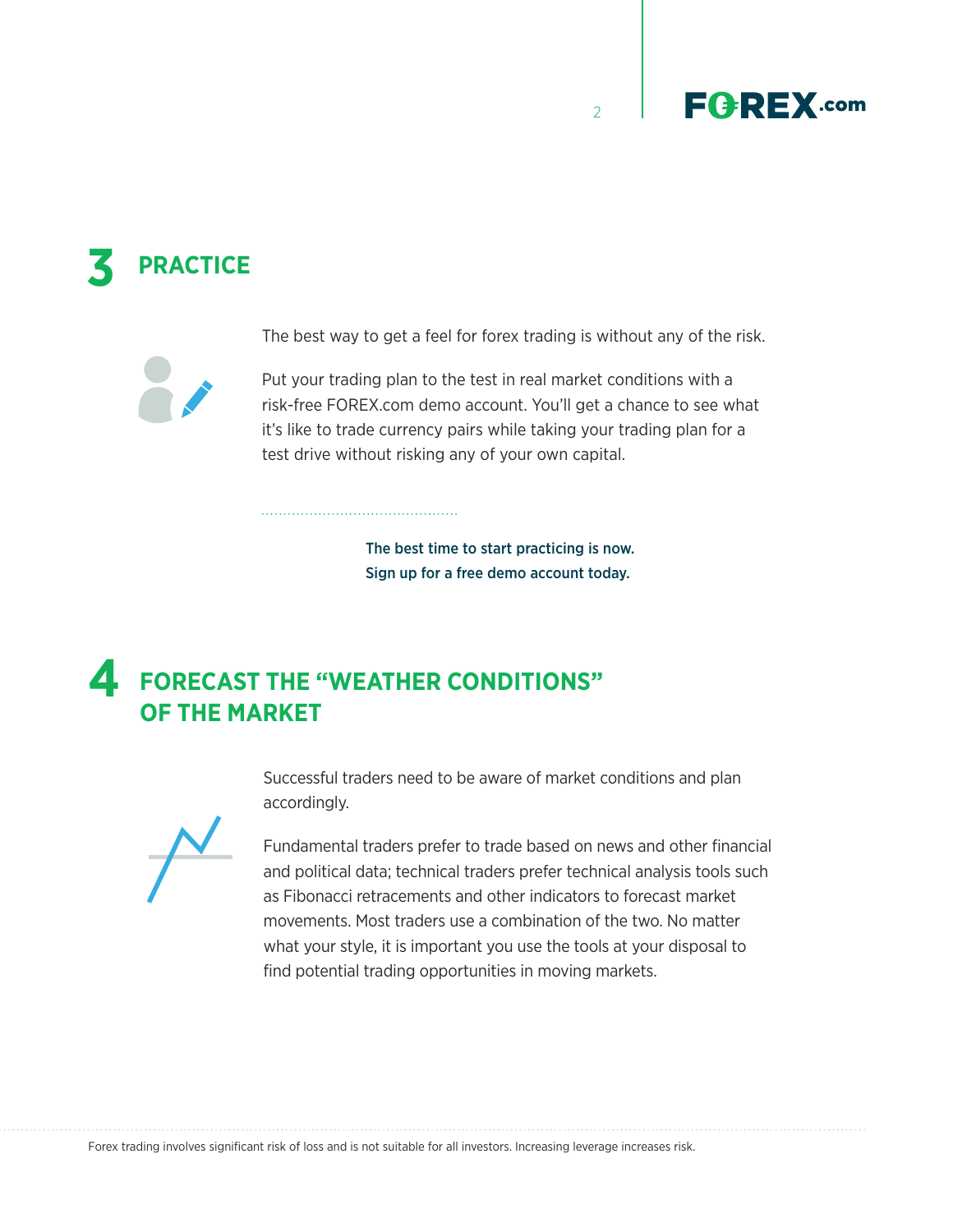

# **3 PRACTICE**

The best way to get a feel for forex trading is without any of the risk.

 $\overline{2}$ 

Put your trading plan to the test in real market conditions with a risk-free FOREX.com demo account. You'll get a chance to see what it's like to trade currency pairs while taking your trading plan for a test drive without risking any of your own capital.

> The best time to start practicing is now. Sign up for a free demo account today.

### **FORECAST THE "WEATHER CONDITIONS" OF THE MARKET 4**

Successful traders need to be aware of market conditions and plan accordingly.



Fundamental traders prefer to trade based on news and other financial and political data; technical traders prefer technical analysis tools such as Fibonacci retracements and other indicators to forecast market movements. Most traders use a combination of the two. No matter what your style, it is important you use the tools at your disposal to find potential trading opportunities in moving markets.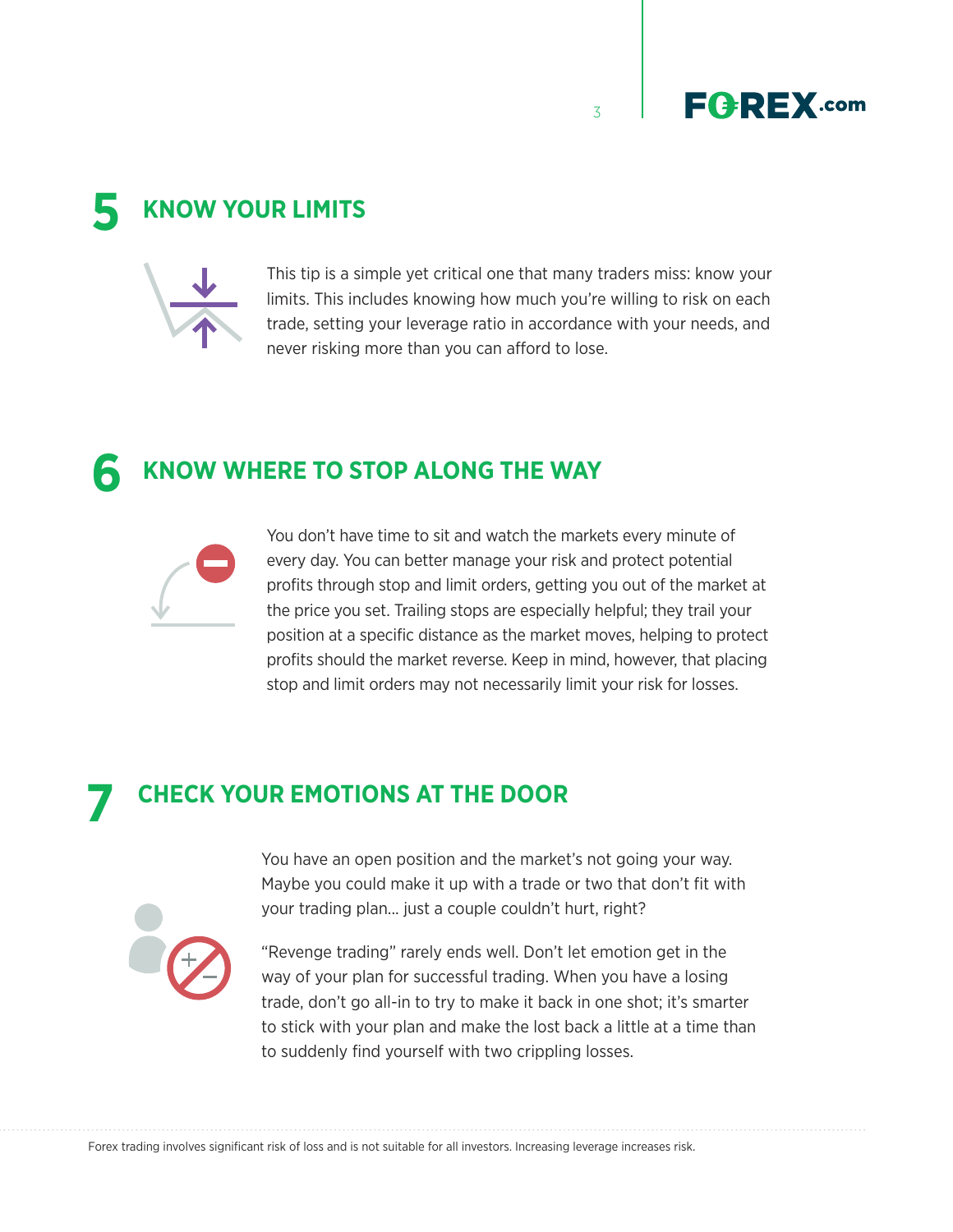3



## **5 KNOW YOUR LIMITS**



This tip is a simple yet critical one that many traders miss: know your limits. This includes knowing how much you're willing to risk on each trade, setting your leverage ratio in accordance with your needs, and never risking more than you can afford to lose.

#### **6 KNOW WHERE TO STOP ALONG THE WAY**



You don't have time to sit and watch the markets every minute of every day. You can better manage your risk and protect potential profits through stop and limit orders, getting you out of the market at the price you set. Trailing stops are especially helpful; they trail your position at a specific distance as the market moves, helping to protect profits should the market reverse. Keep in mind, however, that placing stop and limit orders may not necessarily limit your risk for losses.

## **CHECK YOUR EMOTIONS AT THE DOOR 7**



You have an open position and the market's not going your way. Maybe you could make it up with a trade or two that don't fit with your trading plan... just a couple couldn't hurt, right?

"Revenge trading" rarely ends well. Don't let emotion get in the way of your plan for successful trading. When you have a losing trade, don't go all-in to try to make it back in one shot; it's smarter to stick with your plan and make the lost back a little at a time than to suddenly find yourself with two crippling losses.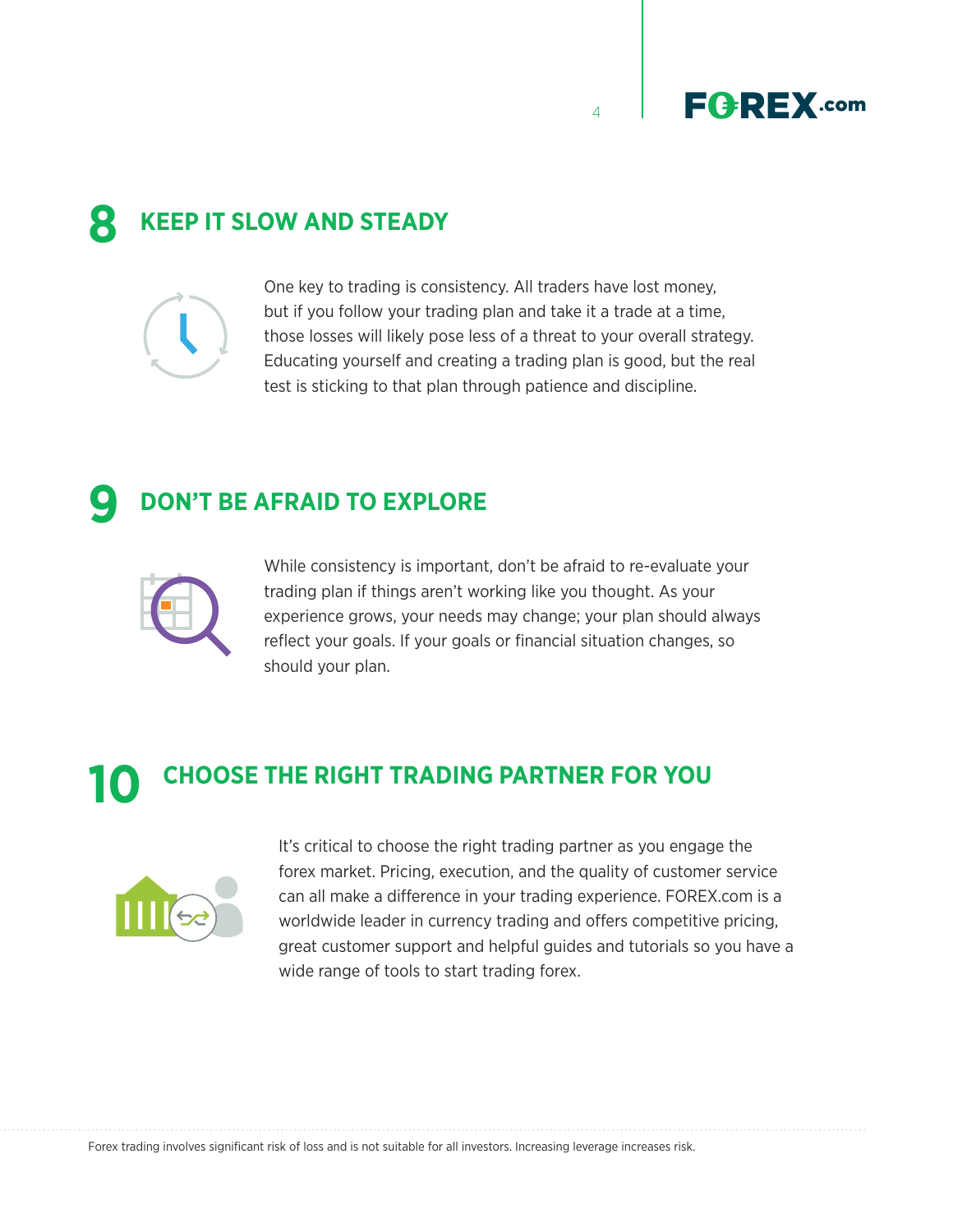$\overline{A}$ 



## **KEEP IT SLOW AND STEADY 8**



One key to trading is consistency. All traders have lost money, but if you follow your trading plan and take it a trade at a time, those losses will likely pose less of a threat to your overall strategy. Educating yourself and creating a trading plan is good, but the real test is sticking to that plan through patience and discipline.

## **DON'T BE AFRAID TO EXPLORE 9**



While consistency is important, don't be afraid to re-evaluate your trading plan if things aren't working like you thought. As your experience grows, your needs may change; your plan should always reflect your goals. If your goals or financial situation changes, so should your plan.

# **CHOOSE THE RIGHT TRADING PARTNER FOR YOU 10**



It's critical to choose the right trading partner as you engage the forex market. Pricing, execution, and the quality of customer service can all make a difference in your trading experience. FOREX.com is a worldwide leader in currency trading and offers competitive pricing, great customer support and helpful guides and tutorials so you have a wide range of tools to start trading forex.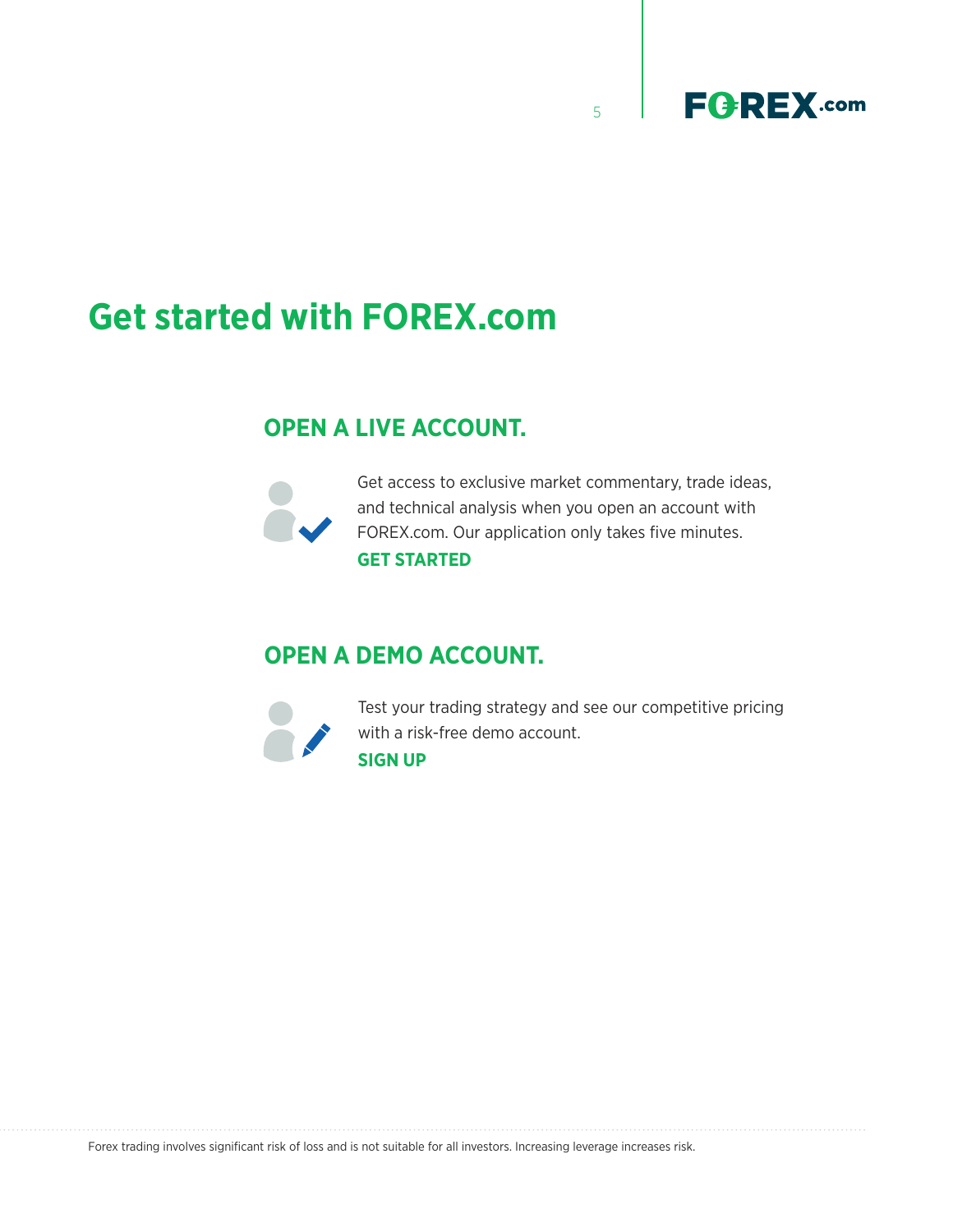

# **Get started with FOREX.com**

## **OPEN A LIVE ACCOUNT.**



Get access to exclusive market commentary, trade ideas, and technical analysis when you open an account with FOREX.com. Our application only takes five minutes. **[GET STARTED](https://www.forex.com/en-us/open-an-account)**

5

## **OPEN A DEMO ACCOUNT.**



Test your trading strategy and see our competitive pricing with a risk-free demo account. **[SIGN UP](https://www.forex.com/en-us/open-forextrader-demo-account)**

Forex trading involves significant risk of loss and is not suitable for all investors. Increasing leverage increases risk.